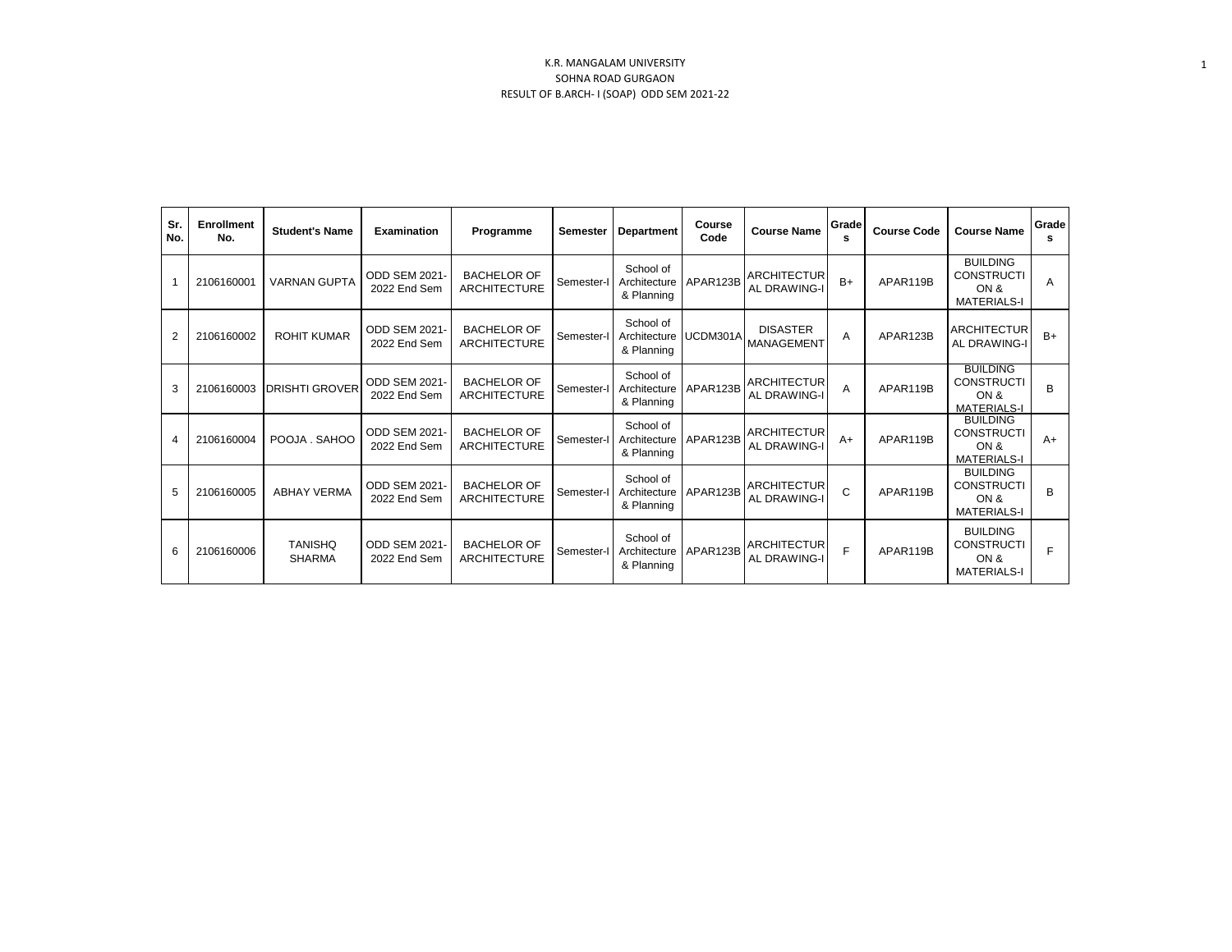| Sr.<br>No. | <b>Enrollment</b><br>No. | <b>Student's Name</b>           | <b>Examination</b>                   | Programme                                 | Semester   | <b>Department</b>                                | Course<br>Code | <b>Course Name</b>                        | Grade<br>s | <b>Course Code</b> | <b>Course Name</b>                                                 | Grade<br>s     |
|------------|--------------------------|---------------------------------|--------------------------------------|-------------------------------------------|------------|--------------------------------------------------|----------------|-------------------------------------------|------------|--------------------|--------------------------------------------------------------------|----------------|
|            | 2106160001               | <b>VARNAN GUPTA</b>             | ODD SEM 2021<br>2022 End Sem         | <b>BACHELOR OF</b><br>ARCHITECTURE        | Semester-I | School of<br>Architecture<br>& Planning          | APAR123B       | <b>ARCHITECTUR</b><br><b>AL DRAWING-I</b> | $B+$       | APAR119B           | <b>BUILDING</b><br><b>CONSTRUCTI</b><br>ON &<br><b>MATERIALS-I</b> | $\overline{A}$ |
| 2          | 2106160002               | <b>ROHIT KUMAR</b>              | ODD SEM 2021-<br>2022 End Sem        | <b>BACHELOR OF</b><br><b>ARCHITECTURE</b> | Semester-I | School of<br>Architecture UCDM301A<br>& Planning |                | <b>DISASTER</b><br>MANAGEMENT             | A          | APAR123B           | <b>ARCHITECTUR</b><br><b>AL DRAWING-I</b>                          | $B+$           |
| 3          | 2106160003               | <b>DRISHTI GROVER</b>           | ODD SEM 2021-<br>2022 End Sem        | <b>BACHELOR OF</b><br><b>ARCHITECTURE</b> | Semester-I | School of<br>Architecture<br>& Planning          | APAR123B       | <b>ARCHITECTUR</b><br><b>AL DRAWING-I</b> | A          | APAR119B           | <b>BUILDING</b><br><b>CONSTRUCTI</b><br>ON &<br><b>MATERIALS-I</b> | B              |
| 4          | 2106160004               | POOJA, SAHOO                    | ODD SEM 2021-<br>2022 End Sem        | <b>BACHELOR OF</b><br><b>ARCHITECTURE</b> | Semester-I | School of<br>Architecture<br>& Planning          | APAR123B       | <b>ARCHITECTUR</b><br><b>AL DRAWING-I</b> | $A+$       | APAR119B           | <b>BUILDING</b><br><b>CONSTRUCTI</b><br>ON &<br><b>MATERIALS-I</b> | $A+$           |
| 5          | 2106160005               | <b>ABHAY VERMA</b>              | <b>ODD SEM 2021-</b><br>2022 End Sem | <b>BACHELOR OF</b><br><b>ARCHITECTURE</b> | Semester-I | School of<br>Architecture<br>& Planning          | APAR123B       | <b>ARCHITECTUR</b><br>AL DRAWING-I        | C          | APAR119B           | <b>BUILDING</b><br><b>CONSTRUCTI</b><br>ON &<br><b>MATERIALS-I</b> | B              |
| 6          | 2106160006               | <b>TANISHQ</b><br><b>SHARMA</b> | ODD SEM 2021<br>2022 End Sem         | <b>BACHELOR OF</b><br><b>ARCHITECTURE</b> | Semester-I | School of<br>Architecture<br>& Planning          | APAR123B       | <b>ARCHITECTUR</b><br><b>AL DRAWING-I</b> | E          | APAR119B           | <b>BUILDING</b><br><b>CONSTRUCTI</b><br>ON &<br><b>MATERIALS-I</b> | E              |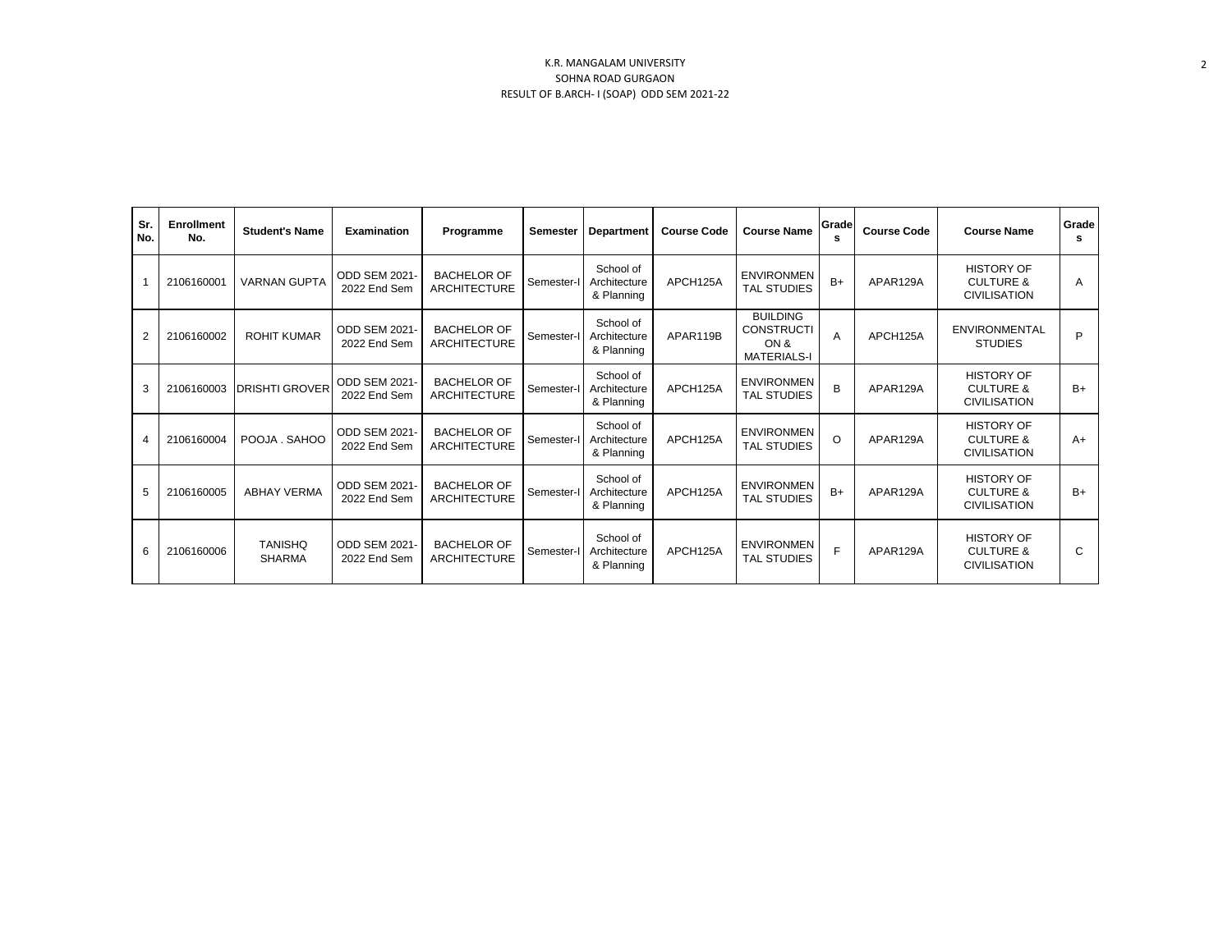| Sr.<br>No.     | <b>Enrollment</b><br>No. | <b>Student's Name</b>           | <b>Examination</b>                   | Programme                                 | Semester   | <b>Department</b>                       | <b>Course Code</b> | <b>Course Name</b>                                                 | Grade<br>s | <b>Course Code</b> | <b>Course Name</b>                                               | Grade<br>s |
|----------------|--------------------------|---------------------------------|--------------------------------------|-------------------------------------------|------------|-----------------------------------------|--------------------|--------------------------------------------------------------------|------------|--------------------|------------------------------------------------------------------|------------|
|                | 2106160001               | <b>VARNAN GUPTA</b>             | <b>ODD SEM 2021-</b><br>2022 End Sem | <b>BACHELOR OF</b><br><b>ARCHITECTURE</b> | Semester-I | School of<br>Architecture<br>& Planning | APCH125A           | <b>ENVIRONMEN</b><br><b>TAL STUDIES</b>                            | $B+$       | APAR129A           | <b>HISTORY OF</b><br><b>CULTURE &amp;</b><br><b>CIVILISATION</b> | A          |
| $\overline{2}$ | 2106160002               | <b>ROHIT KUMAR</b>              | <b>ODD SEM 2021-</b><br>2022 End Sem | <b>BACHELOR OF</b><br><b>ARCHITECTURE</b> | Semester-I | School of<br>Architecture<br>& Planning | APAR119B           | <b>BUILDING</b><br><b>CONSTRUCTI</b><br>ON &<br><b>MATERIALS-I</b> | A          | APCH125A           | <b>ENVIRONMENTAL</b><br><b>STUDIES</b>                           | P          |
| 3              | 2106160003               | <b>DRISHTI GROVER</b>           | <b>ODD SEM 2021-</b><br>2022 End Sem | <b>BACHELOR OF</b><br><b>ARCHITECTURE</b> | Semester-I | School of<br>Architecture<br>& Planning | APCH125A           | <b>ENVIRONMEN</b><br><b>TAL STUDIES</b>                            | B          | APAR129A           | <b>HISTORY OF</b><br><b>CULTURE &amp;</b><br><b>CIVILISATION</b> | $B+$       |
| $\overline{4}$ | 2106160004               | POOJA . SAHOO                   | <b>ODD SEM 2021-</b><br>2022 End Sem | <b>BACHELOR OF</b><br><b>ARCHITECTURE</b> | Semester-I | School of<br>Architecture<br>& Planning | APCH125A           | <b>ENVIRONMEN</b><br><b>TAL STUDIES</b>                            | $\circ$    | APAR129A           | <b>HISTORY OF</b><br><b>CULTURE &amp;</b><br><b>CIVILISATION</b> | $A+$       |
| 5              | 2106160005               | <b>ABHAY VERMA</b>              | <b>ODD SEM 2021-</b><br>2022 End Sem | <b>BACHELOR OF</b><br><b>ARCHITECTURE</b> | Semester-  | School of<br>Architecture<br>& Planning | APCH125A           | <b>ENVIRONMEN</b><br><b>TAL STUDIES</b>                            | $B+$       | APAR129A           | <b>HISTORY OF</b><br><b>CULTURE &amp;</b><br><b>CIVILISATION</b> | $B+$       |
| 6              | 2106160006               | <b>TANISHQ</b><br><b>SHARMA</b> | <b>ODD SEM 2021-</b><br>2022 End Sem | <b>BACHELOR OF</b><br><b>ARCHITECTURE</b> | Semester-I | School of<br>Architecture<br>& Planning | APCH125A           | <b>ENVIRONMEN</b><br><b>TAL STUDIES</b>                            | E          | APAR129A           | <b>HISTORY OF</b><br><b>CULTURE &amp;</b><br><b>CIVILISATION</b> | C          |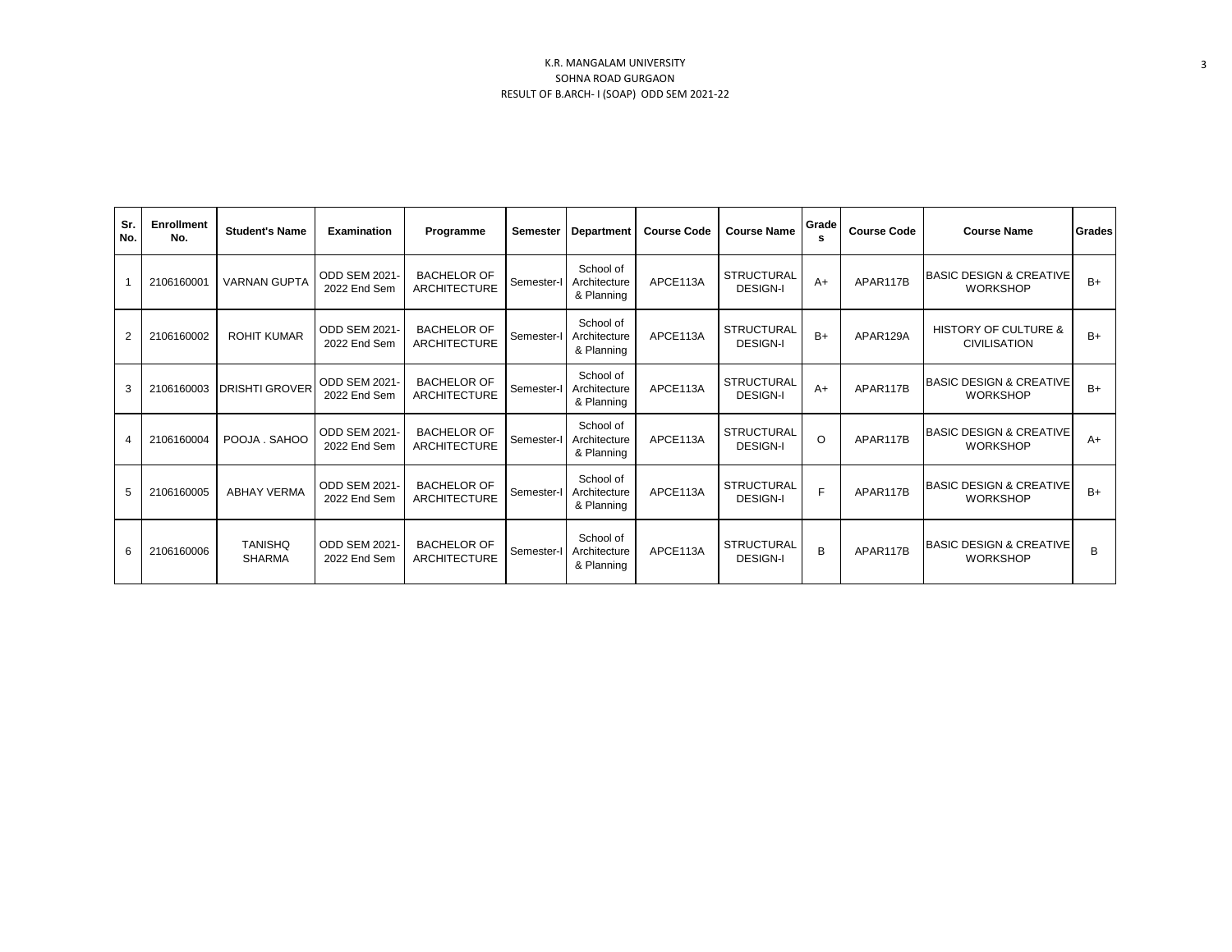| Sr.<br>No.     | <b>Enrollment</b><br>No. | <b>Student's Name</b>           | Examination                          | Programme                                 | Semester   | <b>Department</b>                       | <b>Course Code</b> | <b>Course Name</b>                   | Grade<br>s | <b>Course Code</b> | <b>Course Name</b>                                     | Grades |
|----------------|--------------------------|---------------------------------|--------------------------------------|-------------------------------------------|------------|-----------------------------------------|--------------------|--------------------------------------|------------|--------------------|--------------------------------------------------------|--------|
|                | 2106160001               | <b>VARNAN GUPTA</b>             | ODD SEM 2021<br>2022 End Sem         | <b>BACHELOR OF</b><br><b>ARCHITECTURE</b> | Semester-I | School of<br>Architecture<br>& Planning | APCE113A           | <b>STRUCTURAL</b><br><b>DESIGN-I</b> | $A+$       | APAR117B           | <b>BASIC DESIGN &amp; CREATIVE</b><br><b>WORKSHOP</b>  | $B+$   |
| $\overline{2}$ | 2106160002               | <b>ROHIT KUMAR</b>              | ODD SEM 2021<br>2022 End Sem         | <b>BACHELOR OF</b><br><b>ARCHITECTURE</b> | Semester-I | School of<br>Architecture<br>& Planning | APCE113A           | <b>STRUCTURAL</b><br><b>DESIGN-I</b> | $B+$       | APAR129A           | <b>HISTORY OF CULTURE &amp;</b><br><b>CIVILISATION</b> | $B+$   |
| 3              | 2106160003               | <b>DRISHTI GROVER</b>           | ODD SEM 2021<br>2022 End Sem         | <b>BACHELOR OF</b><br><b>ARCHITECTURE</b> | Semester-I | School of<br>Architecture<br>& Planning | APCE113A           | <b>STRUCTURAL</b><br><b>DESIGN-I</b> | $A+$       | APAR117B           | <b>BASIC DESIGN &amp; CREATIVE</b><br><b>WORKSHOP</b>  | $B+$   |
| $\overline{4}$ | 2106160004               | POOJA, SAHOO                    | ODD SEM 2021<br>2022 End Sem         | <b>BACHELOR OF</b><br><b>ARCHITECTURE</b> | Semester-I | School of<br>Architecture<br>& Planning | APCE113A           | <b>STRUCTURAL</b><br><b>DESIGN-I</b> | $\Omega$   | APAR117B           | <b>BASIC DESIGN &amp; CREATIVE</b><br><b>WORKSHOP</b>  | $A+$   |
| 5              | 2106160005               | <b>ABHAY VERMA</b>              | <b>ODD SEM 2021-</b><br>2022 End Sem | <b>BACHELOR OF</b><br><b>ARCHITECTURE</b> | Semester-I | School of<br>Architecture<br>& Planning | APCE113A           | <b>STRUCTURAL</b><br><b>DESIGN-I</b> | F          | APAR117B           | <b>BASIC DESIGN &amp; CREATIVE</b><br><b>WORKSHOP</b>  | $B+$   |
| 6              | 2106160006               | <b>TANISHQ</b><br><b>SHARMA</b> | <b>ODD SEM 2021-</b><br>2022 End Sem | <b>BACHELOR OF</b><br>ARCHITECTURE        | Semester-I | School of<br>Architecture<br>& Planning | APCE113A           | <b>STRUCTURAL</b><br><b>DESIGN-I</b> | B          | APAR117B           | <b>IBASIC DESIGN &amp; CREATIVE</b><br><b>WORKSHOP</b> | B      |